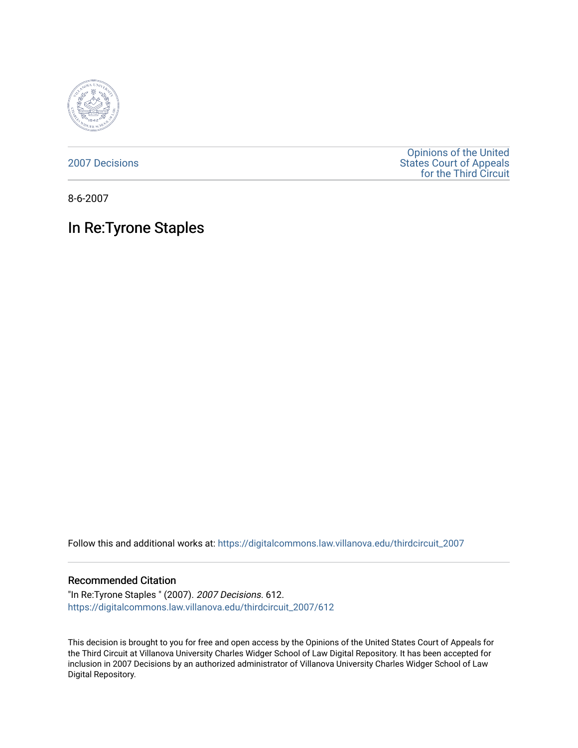

[2007 Decisions](https://digitalcommons.law.villanova.edu/thirdcircuit_2007)

[Opinions of the United](https://digitalcommons.law.villanova.edu/thirdcircuit)  [States Court of Appeals](https://digitalcommons.law.villanova.edu/thirdcircuit)  [for the Third Circuit](https://digitalcommons.law.villanova.edu/thirdcircuit) 

8-6-2007

# In Re:Tyrone Staples

Follow this and additional works at: [https://digitalcommons.law.villanova.edu/thirdcircuit\\_2007](https://digitalcommons.law.villanova.edu/thirdcircuit_2007?utm_source=digitalcommons.law.villanova.edu%2Fthirdcircuit_2007%2F612&utm_medium=PDF&utm_campaign=PDFCoverPages) 

#### Recommended Citation

"In Re:Tyrone Staples " (2007). 2007 Decisions. 612. [https://digitalcommons.law.villanova.edu/thirdcircuit\\_2007/612](https://digitalcommons.law.villanova.edu/thirdcircuit_2007/612?utm_source=digitalcommons.law.villanova.edu%2Fthirdcircuit_2007%2F612&utm_medium=PDF&utm_campaign=PDFCoverPages)

This decision is brought to you for free and open access by the Opinions of the United States Court of Appeals for the Third Circuit at Villanova University Charles Widger School of Law Digital Repository. It has been accepted for inclusion in 2007 Decisions by an authorized administrator of Villanova University Charles Widger School of Law Digital Repository.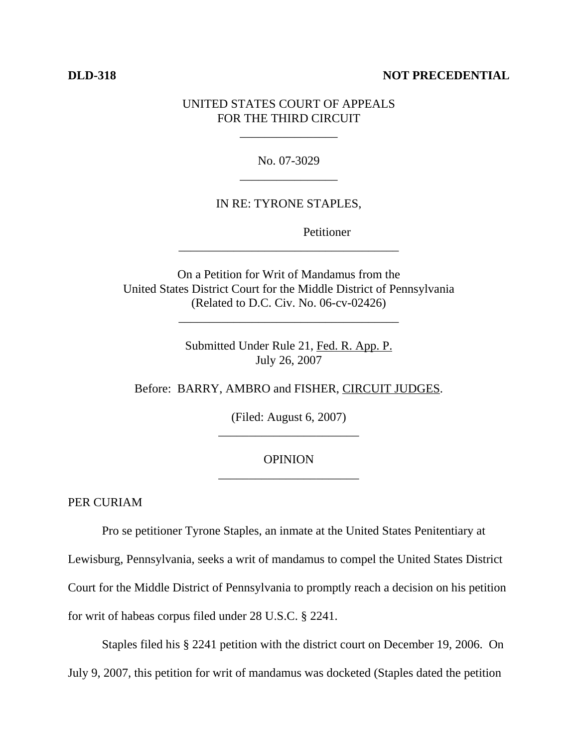## **DLD-318** NOT PRECEDENTIAL

# UNITED STATES COURT OF APPEALS FOR THE THIRD CIRCUIT

\_\_\_\_\_\_\_\_\_\_\_\_\_\_\_\_

No. 07-3029 \_\_\_\_\_\_\_\_\_\_\_\_\_\_\_\_

## IN RE: TYRONE STAPLES,

Petitioner

On a Petition for Writ of Mandamus from the United States District Court for the Middle District of Pennsylvania (Related to D.C. Civ. No. 06-cv-02426)

\_\_\_\_\_\_\_\_\_\_\_\_\_\_\_\_\_\_\_\_\_\_\_\_\_\_\_\_\_\_\_\_\_\_\_\_

\_\_\_\_\_\_\_\_\_\_\_\_\_\_\_\_\_\_\_\_\_\_\_\_\_\_\_\_\_\_\_\_\_\_\_\_

Submitted Under Rule 21, Fed. R. App. P. July 26, 2007

Before: BARRY, AMBRO and FISHER, CIRCUIT JUDGES.

(Filed: August 6, 2007) \_\_\_\_\_\_\_\_\_\_\_\_\_\_\_\_\_\_\_\_\_\_\_

# **OPINION** \_\_\_\_\_\_\_\_\_\_\_\_\_\_\_\_\_\_\_\_\_\_\_

PER CURIAM

Pro se petitioner Tyrone Staples, an inmate at the United States Penitentiary at Lewisburg, Pennsylvania, seeks a writ of mandamus to compel the United States District Court for the Middle District of Pennsylvania to promptly reach a decision on his petition for writ of habeas corpus filed under 28 U.S.C. § 2241.

Staples filed his § 2241 petition with the district court on December 19, 2006. On July 9, 2007, this petition for writ of mandamus was docketed (Staples dated the petition